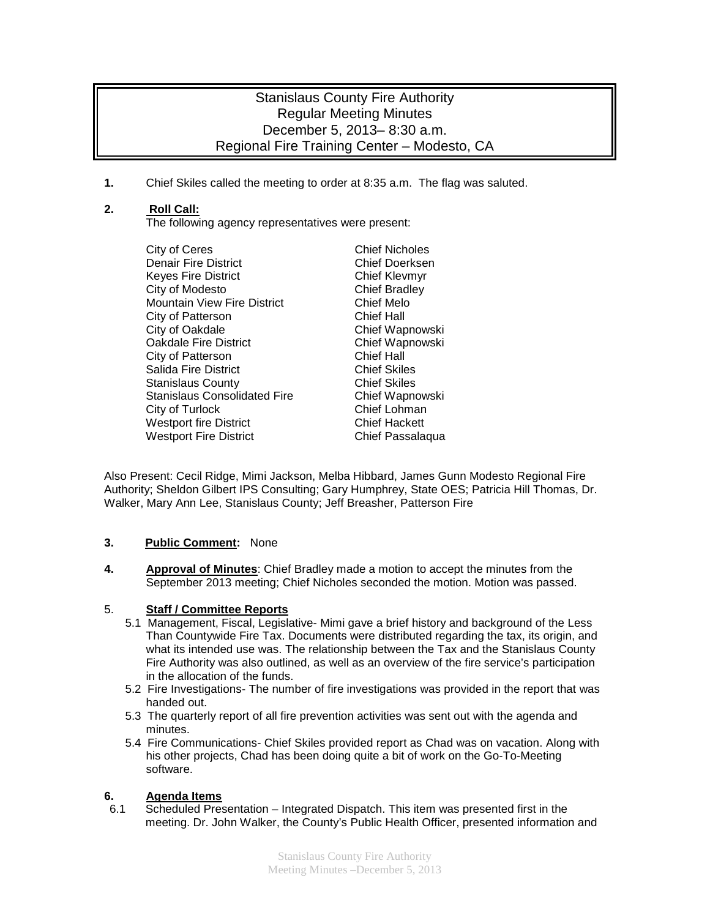# Stanislaus County Fire Authority Regular Meeting Minutes December 5, 2013– 8:30 a.m. Regional Fire Training Center – Modesto, CA

**1.** Chief Skiles called the meeting to order at 8:35 a.m. The flag was saluted.

## **2. Roll Call:**

The following agency representatives were present:

City of Ceres<br>
Denair Fire District<br>
Denair Fire District<br>
Chief Doerksen Denair Fire District<br>
Keyes Fire District<br>
Chief Klevmyr Keyes Fire District City of Modesto Chief Bradley Mountain View Fire District **Chief Melo**<br>City of Patterson Chief Hall City of Patterson City of Oakdale Chief Wapnowski Oakdale Fire District **Chief Wapnowski**<br>City of Patterson Chief Hall City of Patterson Chief Hall Salida Fire District Stanislaus County<br>
Stanislaus Consolidated Fire<br>
Chief Wapnowski Stanislaus Consolidated Fire City of Turlock Chief Lohman Westport fire District **Chief Hackett**<br>
Westport Fire District **Chief Passalagua** Westport Fire District

Also Present: Cecil Ridge, Mimi Jackson, Melba Hibbard, James Gunn Modesto Regional Fire Authority; Sheldon Gilbert IPS Consulting; Gary Humphrey, State OES; Patricia Hill Thomas, Dr. Walker, Mary Ann Lee, Stanislaus County; Jeff Breasher, Patterson Fire

### **3. Public Comment:** None

**4. Approval of Minutes**: Chief Bradley made a motion to accept the minutes from the September 2013 meeting; Chief Nicholes seconded the motion. Motion was passed.

### 5. **Staff / Committee Reports**

- 5.1 Management, Fiscal, Legislative- Mimi gave a brief history and background of the Less Than Countywide Fire Tax. Documents were distributed regarding the tax, its origin, and what its intended use was. The relationship between the Tax and the Stanislaus County Fire Authority was also outlined, as well as an overview of the fire service's participation in the allocation of the funds.
- 5.2 Fire Investigations- The number of fire investigations was provided in the report that was handed out.
- 5.3 The quarterly report of all fire prevention activities was sent out with the agenda and minutes.
- 5.4 Fire Communications- Chief Skiles provided report as Chad was on vacation. Along with his other projects, Chad has been doing quite a bit of work on the Go-To-Meeting software.

### **6. Agenda Items**

6.1 Scheduled Presentation – Integrated Dispatch. This item was presented first in the meeting. Dr. John Walker, the County's Public Health Officer, presented information and